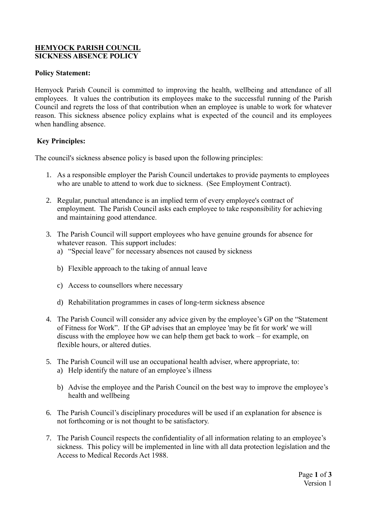#### **HEMYOCK PARISH COUNCIL SICKNESS ABSENCE POLICY**

#### **Policy Statement:**

Hemyock Parish Council is committed to improving the health, wellbeing and attendance of all employees. It values the contribution its employees make to the successful running of the Parish Council and regrets the loss of that contribution when an employee is unable to work for whatever reason. This sickness absence policy explains what is expected of the council and its employees when handling absence.

## **Key Principles:**

The council's sickness absence policy is based upon the following principles:

- 1. As a responsible employer the Parish Council undertakes to provide payments to employees who are unable to attend to work due to sickness. (See Employment Contract).
- 2. Regular, punctual attendance is an implied term of every employee's contract of employment. The Parish Council asks each employee to take responsibility for achieving and maintaining good attendance.
- 3. The Parish Council will support employees who have genuine grounds for absence for whatever reason. This support includes:
	- a) "Special leave" for necessary absences not caused by sickness
	- b) Flexible approach to the taking of annual leave
	- c) Access to counsellors where necessary
	- d) Rehabilitation programmes in cases of long-term sickness absence
- 4. The Parish Council will consider any advice given by the employee's GP on the "Statement of Fitness for Work". If the GP advises that an employee 'may be fit for work' we will discuss with the employee how we can help them get back to work – for example, on flexible hours, or altered duties.
- 5. The Parish Council will use an occupational health adviser, where appropriate, to: a) Help identify the nature of an employee's illness
	- b) Advise the employee and the Parish Council on the best way to improve the employee's health and wellbeing
- 6. The Parish Council's disciplinary procedures will be used if an explanation for absence is not forthcoming or is not thought to be satisfactory.
- 7. The Parish Council respects the confidentiality of all information relating to an employee's sickness. This policy will be implemented in line with all data protection legislation and the Access to Medical Records Act 1988.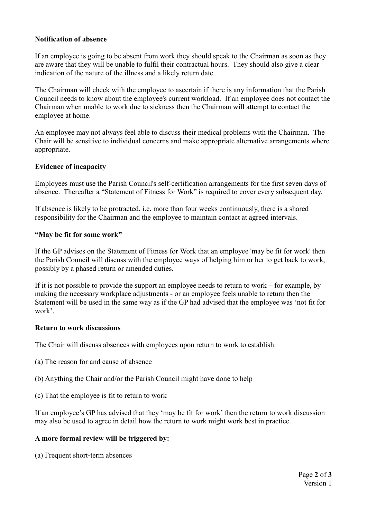## **Notification of absence**

If an employee is going to be absent from work they should speak to the Chairman as soon as they are aware that they will be unable to fulfil their contractual hours. They should also give a clear indication of the nature of the illness and a likely return date.

The Chairman will check with the employee to ascertain if there is any information that the Parish Council needs to know about the employee's current workload. If an employee does not contact the Chairman when unable to work due to sickness then the Chairman will attempt to contact the employee at home.

An employee may not always feel able to discuss their medical problems with the Chairman. The Chair will be sensitive to individual concerns and make appropriate alternative arrangements where appropriate.

## **Evidence of incapacity**

Employees must use the Parish Council's self-certification arrangements for the first seven days of absence. Thereafter a "Statement of Fitness for Work" is required to cover every subsequent day.

If absence is likely to be protracted, i.e. more than four weeks continuously, there is a shared responsibility for the Chairman and the employee to maintain contact at agreed intervals.

#### **"May be fit for some work"**

If the GP advises on the Statement of Fitness for Work that an employee 'may be fit for work' then the Parish Council will discuss with the employee ways of helping him or her to get back to work, possibly by a phased return or amended duties.

If it is not possible to provide the support an employee needs to return to work – for example, by making the necessary workplace adjustments - or an employee feels unable to return then the Statement will be used in the same way as if the GP had advised that the employee was 'not fit for work'.

#### **Return to work discussions**

The Chair will discuss absences with employees upon return to work to establish:

- (a) The reason for and cause of absence
- (b) Anything the Chair and/or the Parish Council might have done to help
- (c) That the employee is fit to return to work

If an employee's GP has advised that they 'may be fit for work' then the return to work discussion may also be used to agree in detail how the return to work might work best in practice.

## **A more formal review will be triggered by:**

(a) Frequent short-term absences